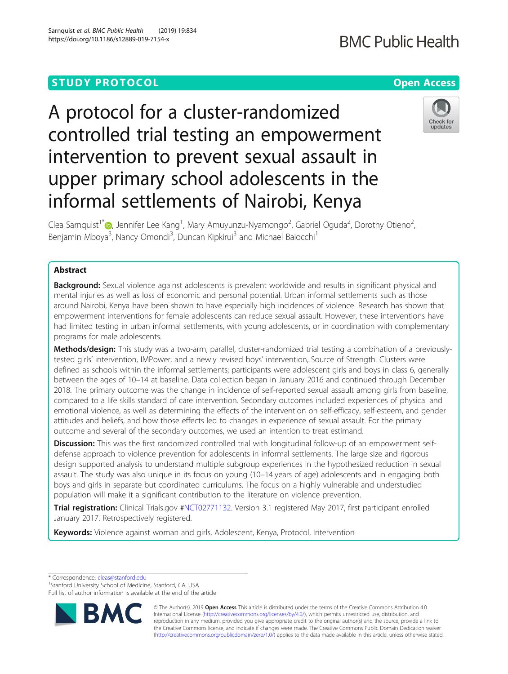# **STUDY PROTOCOL CONSUMING THE RESERVE ACCESS**

# A protocol for a cluster-randomized controlled trial testing an empowerment intervention to prevent sexual assault in upper primary school adolescents in the

informal settlements of Nairobi, Kenya

Clea Sarnquist<sup>1\*</sup> (@, Jennifer Lee Kang<sup>1</sup>, Mary Amuyunzu-Nyamongo<sup>2</sup>, Gabriel Oguda<sup>2</sup>, Dorothy Otieno<sup>2</sup> , Benjamin Mboya<sup>3</sup>, Nancy Omondi<sup>3</sup>, Duncan Kipkirui<sup>3</sup> and Michael Baiocchi<sup>1</sup>

# Abstract

**Background:** Sexual violence against adolescents is prevalent worldwide and results in significant physical and mental injuries as well as loss of economic and personal potential. Urban informal settlements such as those around Nairobi, Kenya have been shown to have especially high incidences of violence. Research has shown that empowerment interventions for female adolescents can reduce sexual assault. However, these interventions have had limited testing in urban informal settlements, with young adolescents, or in coordination with complementary programs for male adolescents.

Methods/design: This study was a two-arm, parallel, cluster-randomized trial testing a combination of a previouslytested girls' intervention, IMPower, and a newly revised boys' intervention, Source of Strength. Clusters were defined as schools within the informal settlements; participants were adolescent girls and boys in class 6, generally between the ages of 10–14 at baseline. Data collection began in January 2016 and continued through December 2018. The primary outcome was the change in incidence of self-reported sexual assault among girls from baseline, compared to a life skills standard of care intervention. Secondary outcomes included experiences of physical and emotional violence, as well as determining the effects of the intervention on self-efficacy, self-esteem, and gender attitudes and beliefs, and how those effects led to changes in experience of sexual assault. For the primary outcome and several of the secondary outcomes, we used an intention to treat estimand.

**Discussion:** This was the first randomized controlled trial with longitudinal follow-up of an empowerment selfdefense approach to violence prevention for adolescents in informal settlements. The large size and rigorous design supported analysis to understand multiple subgroup experiences in the hypothesized reduction in sexual assault. The study was also unique in its focus on young (10–14 years of age) adolescents and in engaging both boys and girls in separate but coordinated curriculums. The focus on a highly vulnerable and understudied population will make it a significant contribution to the literature on violence prevention.

Trial registration: Clinical Trials.gov #[NCT02771132.](https://clinicaltrials.gov/ct2/show/NCT02771132?id=NCT02771132&rank=1) Version 3.1 registered May 2017, first participant enrolled January 2017. Retrospectively registered.

Keywords: Violence against woman and girls, Adolescent, Kenya, Protocol, Intervention

\* Correspondence: [cleas@stanford.edu](mailto:cleas@stanford.edu) <sup>1</sup>

BA

<sup>1</sup>Stanford University School of Medicine, Stanford, CA, USA

Full list of author information is available at the end of the article

© The Author(s). 2019 **Open Access** This article is distributed under the terms of the Creative Commons Attribution 4.0 International License [\(http://creativecommons.org/licenses/by/4.0/](http://creativecommons.org/licenses/by/4.0/)), which permits unrestricted use, distribution, and reproduction in any medium, provided you give appropriate credit to the original author(s) and the source, provide a link to the Creative Commons license, and indicate if changes were made. The Creative Commons Public Domain Dedication waiver [\(http://creativecommons.org/publicdomain/zero/1.0/](http://creativecommons.org/publicdomain/zero/1.0/)) applies to the data made available in this article, unless otherwise stated.



undates



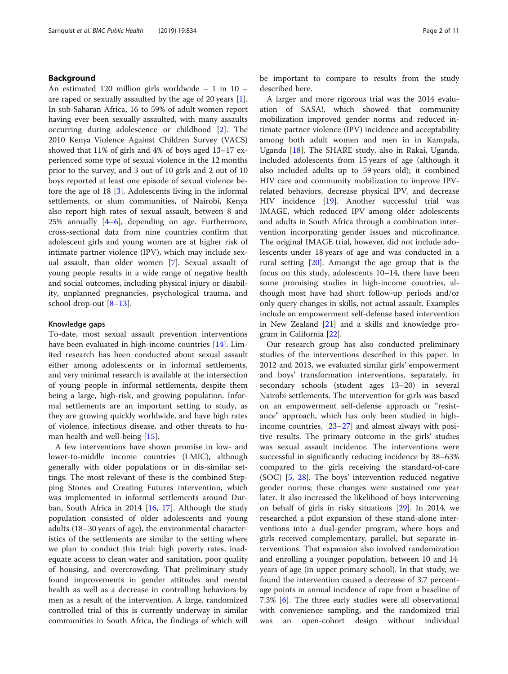# Background

An estimated 120 million girls worldwide – 1 in 10 – are raped or sexually assaulted by the age of 20 years [\[1](#page-9-0)]. In sub-Saharan Africa, 16 to 59% of adult women report having ever been sexually assaulted, with many assaults occurring during adolescence or childhood [\[2](#page-9-0)]. The 2010 Kenya Violence Against Children Survey (VACS) showed that 11% of girls and 4% of boys aged 13–17 experienced some type of sexual violence in the 12 months prior to the survey, and 3 out of 10 girls and 2 out of 10 boys reported at least one episode of sexual violence before the age of 18 [[3\]](#page-9-0). Adolescents living in the informal settlements, or slum communities, of Nairobi, Kenya also report high rates of sexual assault, between 8 and 25% annually  $[4-6]$  $[4-6]$  $[4-6]$  $[4-6]$ , depending on age. Furthermore, cross-sectional data from nine countries confirm that adolescent girls and young women are at higher risk of intimate partner violence (IPV), which may include sexual assault, than older women [[7\]](#page-9-0). Sexual assault of young people results in a wide range of negative health and social outcomes, including physical injury or disability, unplanned pregnancies, psychological trauma, and school drop-out [\[8](#page-9-0)–[13](#page-9-0)].

# Knowledge gaps

To-date, most sexual assault prevention interventions have been evaluated in high-income countries [\[14](#page-9-0)]. Limited research has been conducted about sexual assault either among adolescents or in informal settlements, and very minimal research is available at the intersection of young people in informal settlements, despite them being a large, high-risk, and growing population. Informal settlements are an important setting to study, as they are growing quickly worldwide, and have high rates of violence, infectious disease, and other threats to human health and well-being [[15\]](#page-9-0).

A few interventions have shown promise in low- and lower-to-middle income countries (LMIC), although generally with older populations or in dis-similar settings. The most relevant of these is the combined Stepping Stones and Creating Futures intervention, which was implemented in informal settlements around Durban, South Africa in 2014 [[16,](#page-9-0) [17\]](#page-9-0). Although the study population consisted of older adolescents and young adults (18–30 years of age), the environmental characteristics of the settlements are similar to the setting where we plan to conduct this trial: high poverty rates, inadequate access to clean water and sanitation, poor quality of housing, and overcrowding. That preliminary study found improvements in gender attitudes and mental health as well as a decrease in controlling behaviors by men as a result of the intervention. A large, randomized controlled trial of this is currently underway in similar communities in South Africa, the findings of which will be important to compare to results from the study described here.

A larger and more rigorous trial was the 2014 evaluation of SASA!, which showed that community mobilization improved gender norms and reduced intimate partner violence (IPV) incidence and acceptability among both adult women and men in in Kampala, Uganda [[18\]](#page-9-0). The SHARE study, also in Rakai, Uganda, included adolescents from 15 years of age (although it also included adults up to 59 years old); it combined HIV care and community mobilization to improve IPVrelated behaviors, decrease physical IPV, and decrease HIV incidence [[19\]](#page-9-0). Another successful trial was IMAGE, which reduced IPV among older adolescents and adults in South Africa through a combination intervention incorporating gender issues and microfinance. The original IMAGE trial, however, did not include adolescents under 18 years of age and was conducted in a rural setting [[20\]](#page-9-0). Amongst the age group that is the focus on this study, adolescents 10–14, there have been some promising studies in high-income countries, although most have had short follow-up periods and/or only query changes in skills, not actual assault. Examples include an empowerment self-defense based intervention in New Zealand [\[21](#page-9-0)] and a skills and knowledge program in California [[22\]](#page-9-0).

Our research group has also conducted preliminary studies of the interventions described in this paper. In 2012 and 2013, we evaluated similar girls' empowerment and boys' transformation interventions, separately, in secondary schools (student ages 13–20) in several Nairobi settlements. The intervention for girls was based on an empowerment self-defense approach or "resistance" approach, which has only been studied in highincome countries, [\[23](#page-9-0)–[27\]](#page-9-0) and almost always with positive results. The primary outcome in the girls' studies was sexual assault incidence. The interventions were successful in significantly reducing incidence by 38–63% compared to the girls receiving the standard-of-care (SOC) [[5,](#page-9-0) [28](#page-9-0)]. The boys' intervention reduced negative gender norms; these changes were sustained one year later. It also increased the likelihood of boys intervening on behalf of girls in risky situations [[29](#page-9-0)]. In 2014, we researched a pilot expansion of these stand-alone interventions into a dual-gender program, where boys and girls received complementary, parallel, but separate interventions. That expansion also involved randomization and enrolling a younger population, between 10 and 14 years of age (in upper primary school). In that study, we found the intervention caused a decrease of 3.7 percentage points in annual incidence of rape from a baseline of 7.3% [[6\]](#page-9-0). The three early studies were all observational with convenience sampling, and the randomized trial was an open-cohort design without individual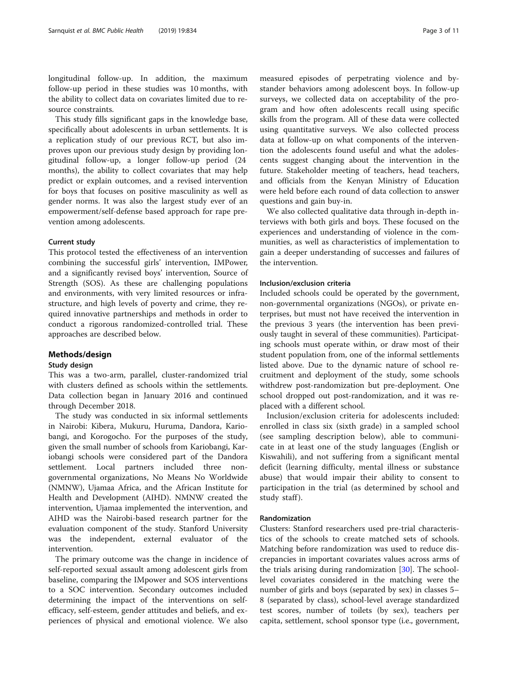longitudinal follow-up. In addition, the maximum follow-up period in these studies was 10 months, with the ability to collect data on covariates limited due to resource constraints.

This study fills significant gaps in the knowledge base, specifically about adolescents in urban settlements. It is a replication study of our previous RCT, but also improves upon our previous study design by providing longitudinal follow-up, a longer follow-up period (24 months), the ability to collect covariates that may help predict or explain outcomes, and a revised intervention for boys that focuses on positive masculinity as well as gender norms. It was also the largest study ever of an empowerment/self-defense based approach for rape prevention among adolescents.

# Current study

This protocol tested the effectiveness of an intervention combining the successful girls' intervention, IMPower, and a significantly revised boys' intervention, Source of Strength (SOS). As these are challenging populations and environments, with very limited resources or infrastructure, and high levels of poverty and crime, they required innovative partnerships and methods in order to conduct a rigorous randomized-controlled trial. These approaches are described below.

#### Methods/design

#### Study design

This was a two-arm, parallel, cluster-randomized trial with clusters defined as schools within the settlements. Data collection began in January 2016 and continued through December 2018.

The study was conducted in six informal settlements in Nairobi: Kibera, Mukuru, Huruma, Dandora, Kariobangi, and Korogocho. For the purposes of the study, given the small number of schools from Kariobangi, Kariobangi schools were considered part of the Dandora settlement. Local partners included three nongovernmental organizations, No Means No Worldwide (NMNW), Ujamaa Africa, and the African Institute for Health and Development (AIHD). NMNW created the intervention, Ujamaa implemented the intervention, and AIHD was the Nairobi-based research partner for the evaluation component of the study. Stanford University was the independent, external evaluator of the intervention.

The primary outcome was the change in incidence of self-reported sexual assault among adolescent girls from baseline, comparing the IMpower and SOS interventions to a SOC intervention. Secondary outcomes included determining the impact of the interventions on selfefficacy, self-esteem, gender attitudes and beliefs, and experiences of physical and emotional violence. We also

stander behaviors among adolescent boys. In follow-up surveys, we collected data on acceptability of the program and how often adolescents recall using specific skills from the program. All of these data were collected using quantitative surveys. We also collected process data at follow-up on what components of the intervention the adolescents found useful and what the adolescents suggest changing about the intervention in the future. Stakeholder meeting of teachers, head teachers, and officials from the Kenyan Ministry of Education were held before each round of data collection to answer questions and gain buy-in.

We also collected qualitative data through in-depth interviews with both girls and boys. These focused on the experiences and understanding of violence in the communities, as well as characteristics of implementation to gain a deeper understanding of successes and failures of the intervention.

# Inclusion/exclusion criteria

Included schools could be operated by the government, non-governmental organizations (NGOs), or private enterprises, but must not have received the intervention in the previous 3 years (the intervention has been previously taught in several of these communities). Participating schools must operate within, or draw most of their student population from, one of the informal settlements listed above. Due to the dynamic nature of school recruitment and deployment of the study, some schools withdrew post-randomization but pre-deployment. One school dropped out post-randomization, and it was replaced with a different school.

Inclusion/exclusion criteria for adolescents included: enrolled in class six (sixth grade) in a sampled school (see sampling description below), able to communicate in at least one of the study languages (English or Kiswahili), and not suffering from a significant mental deficit (learning difficulty, mental illness or substance abuse) that would impair their ability to consent to participation in the trial (as determined by school and study staff).

#### Randomization

Clusters: Stanford researchers used pre-trial characteristics of the schools to create matched sets of schools. Matching before randomization was used to reduce discrepancies in important covariates values across arms of the trials arising during randomization [[30\]](#page-9-0). The schoollevel covariates considered in the matching were the number of girls and boys (separated by sex) in classes 5– 8 (separated by class), school-level average standardized test scores, number of toilets (by sex), teachers per capita, settlement, school sponsor type (i.e., government,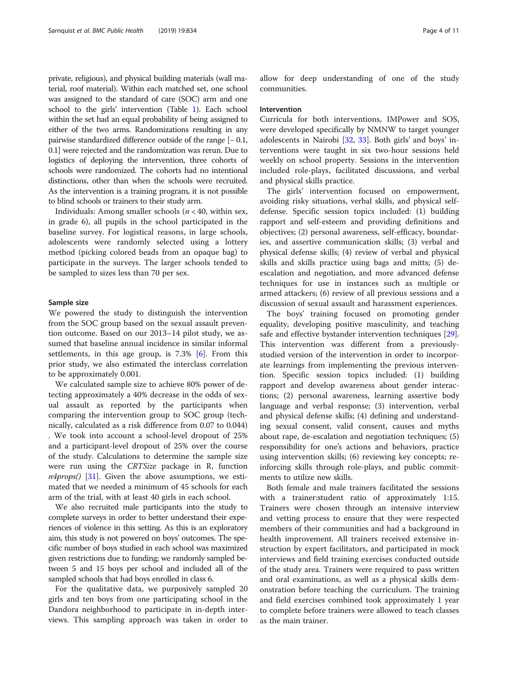private, religious), and physical building materials (wall material, roof material). Within each matched set, one school was assigned to the standard of care (SOC) arm and one school to the girls' intervention (Table [1](#page-6-0)). Each school within the set had an equal probability of being assigned to either of the two arms. Randomizations resulting in any pairwise standardized difference outside of the range [− 0.1, 0.1] were rejected and the randomization was rerun. Due to logistics of deploying the intervention, three cohorts of schools were randomized. The cohorts had no intentional distinctions, other than when the schools were recruited. As the intervention is a training program, it is not possible to blind schools or trainers to their study arm.

Individuals: Among smaller schools ( $n < 40$ , within sex, in grade 6), all pupils in the school participated in the baseline survey. For logistical reasons, in large schools, adolescents were randomly selected using a lottery method (picking colored beads from an opaque bag) to participate in the surveys. The larger schools tended to be sampled to sizes less than 70 per sex.

### Sample size

We powered the study to distinguish the intervention from the SOC group based on the sexual assault prevention outcome. Based on our 2013–14 pilot study, we assumed that baseline annual incidence in similar informal settlements, in this age group, is 7.3% [[6\]](#page-9-0). From this prior study, we also estimated the interclass correlation to be approximately 0.001.

We calculated sample size to achieve 80% power of detecting approximately a 40% decrease in the odds of sexual assault as reported by the participants when comparing the intervention group to SOC group (technically, calculated as a risk difference from 0.07 to 0.044) . We took into account a school-level dropout of 25% and a participant-level dropout of 25% over the course of the study. Calculations to determine the sample size were run using the CRTSize package in R, function  $n4$ *props*() [\[31\]](#page-9-0). Given the above assumptions, we estimated that we needed a minimum of 45 schools for each arm of the trial, with at least 40 girls in each school.

We also recruited male participants into the study to complete surveys in order to better understand their experiences of violence in this setting. As this is an exploratory aim, this study is not powered on boys' outcomes. The specific number of boys studied in each school was maximized given restrictions due to funding; we randomly sampled between 5 and 15 boys per school and included all of the sampled schools that had boys enrolled in class 6.

For the qualitative data, we purposively sampled 20 girls and ten boys from one participating school in the Dandora neighborhood to participate in in-depth interviews. This sampling approach was taken in order to

allow for deep understanding of one of the study communities.

#### Intervention

Curricula for both interventions, IMPower and SOS, were developed specifically by NMNW to target younger adolescents in Nairobi [\[32](#page-9-0), [33\]](#page-9-0). Both girls' and boys' interventions were taught in six two-hour sessions held weekly on school property. Sessions in the intervention included role-plays, facilitated discussions, and verbal and physical skills practice.

The girls' intervention focused on empowerment, avoiding risky situations, verbal skills, and physical selfdefense. Specific session topics included: (1) building rapport and self-esteem and providing definitions and objectives; (2) personal awareness, self-efficacy, boundaries, and assertive communication skills; (3) verbal and physical defense skills; (4) review of verbal and physical skills and skills practice using bags and mitts; (5) deescalation and negotiation, and more advanced defense techniques for use in instances such as multiple or armed attackers; (6) review of all previous sessions and a discussion of sexual assault and harassment experiences.

The boys' training focused on promoting gender equality, developing positive masculinity, and teaching safe and effective bystander intervention techniques [\[29](#page-9-0)]. This intervention was different from a previouslystudied version of the intervention in order to incorporate learnings from implementing the previous intervention. Specific session topics included: (1) building rapport and develop awareness about gender interactions; (2) personal awareness, learning assertive body language and verbal response; (3) intervention, verbal and physical defense skills; (4) defining and understanding sexual consent, valid consent, causes and myths about rape, de-escalation and negotiation techniques; (5) responsibility for one's actions and behaviors, practice using intervention skills; (6) reviewing key concepts; reinforcing skills through role-plays, and public commitments to utilize new skills.

Both female and male trainers facilitated the sessions with a trainer:student ratio of approximately 1:15. Trainers were chosen through an intensive interview and vetting process to ensure that they were respected members of their communities and had a background in health improvement. All trainers received extensive instruction by expert facilitators, and participated in mock interviews and field training exercises conducted outside of the study area. Trainers were required to pass written and oral examinations, as well as a physical skills demonstration before teaching the curriculum. The training and field exercises combined took approximately 1 year to complete before trainers were allowed to teach classes as the main trainer.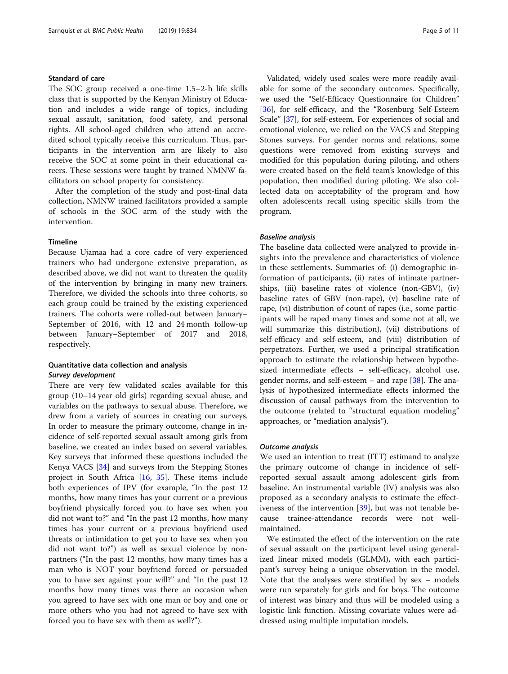# Standard of care

The SOC group received a one-time 1.5–2-h life skills class that is supported by the Kenyan Ministry of Education and includes a wide range of topics, including sexual assault, sanitation, food safety, and personal rights. All school-aged children who attend an accredited school typically receive this curriculum. Thus, participants in the intervention arm are likely to also receive the SOC at some point in their educational careers. These sessions were taught by trained NMNW facilitators on school property for consistency.

After the completion of the study and post-final data collection, NMNW trained facilitators provided a sample of schools in the SOC arm of the study with the intervention.

# Timeline

Because Ujamaa had a core cadre of very experienced trainers who had undergone extensive preparation, as described above, we did not want to threaten the quality of the intervention by bringing in many new trainers. Therefore, we divided the schools into three cohorts, so each group could be trained by the existing experienced trainers. The cohorts were rolled-out between January– September of 2016, with 12 and 24 month follow-up between January–September of 2017 and 2018, respectively.

# Quantitative data collection and analysis Survey development

There are very few validated scales available for this group (10–14 year old girls) regarding sexual abuse, and variables on the pathways to sexual abuse. Therefore, we drew from a variety of sources in creating our surveys. In order to measure the primary outcome, change in incidence of self-reported sexual assault among girls from baseline, we created an index based on several variables. Key surveys that informed these questions included the Kenya VACS [[34\]](#page-9-0) and surveys from the Stepping Stones project in South Africa [\[16,](#page-9-0) [35](#page-9-0)]. These items include both experiences of IPV (for example, "In the past 12 months, how many times has your current or a previous boyfriend physically forced you to have sex when you did not want to?" and "In the past 12 months, how many times has your current or a previous boyfriend used threats or intimidation to get you to have sex when you did not want to?") as well as sexual violence by nonpartners ("In the past 12 months, how many times has a man who is NOT your boyfriend forced or persuaded you to have sex against your will?" and "In the past 12 months how many times was there an occasion when you agreed to have sex with one man or boy and one or more others who you had not agreed to have sex with forced you to have sex with them as well?").

Validated, widely used scales were more readily available for some of the secondary outcomes. Specifically, we used the "Self-Efficacy Questionnaire for Children" [[36\]](#page-9-0), for self-efficacy, and the "Rosenburg Self-Esteem" Scale" [\[37](#page-9-0)], for self-esteem. For experiences of social and emotional violence, we relied on the VACS and Stepping Stones surveys. For gender norms and relations, some questions were removed from existing surveys and modified for this population during piloting, and others were created based on the field team's knowledge of this population, then modified during piloting. We also collected data on acceptability of the program and how often adolescents recall using specific skills from the program.

# Baseline analysis

The baseline data collected were analyzed to provide insights into the prevalence and characteristics of violence in these settlements. Summaries of: (i) demographic information of participants, (ii) rates of intimate partnerships, (iii) baseline rates of violence (non-GBV), (iv) baseline rates of GBV (non-rape), (v) baseline rate of rape, (vi) distribution of count of rapes (i.e., some participants will be raped many times and some not at all, we will summarize this distribution), (vii) distributions of self-efficacy and self-esteem, and (viii) distribution of perpetrators. Further, we used a principal stratification approach to estimate the relationship between hypothesized intermediate effects – self-efficacy, alcohol use, gender norms, and self-esteem  $-$  and rape [[38\]](#page-9-0). The analysis of hypothesized intermediate effects informed the discussion of causal pathways from the intervention to the outcome (related to "structural equation modeling" approaches, or "mediation analysis").

# Outcome analysis

We used an intention to treat (ITT) estimand to analyze the primary outcome of change in incidence of selfreported sexual assault among adolescent girls from baseline. An instrumental variable (IV) analysis was also proposed as a secondary analysis to estimate the effectiveness of the intervention [\[39](#page-10-0)], but was not tenable because trainee-attendance records were not wellmaintained.

We estimated the effect of the intervention on the rate of sexual assault on the participant level using generalized linear mixed models (GLMM), with each participant's survey being a unique observation in the model. Note that the analyses were stratified by sex – models were run separately for girls and for boys. The outcome of interest was binary and thus will be modeled using a logistic link function. Missing covariate values were addressed using multiple imputation models.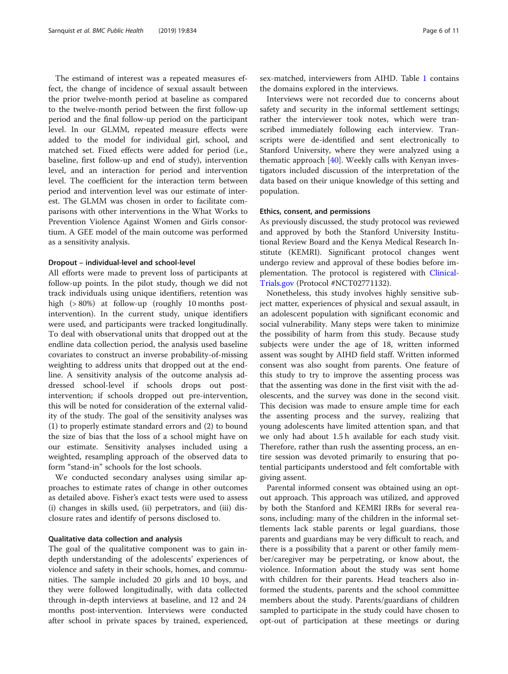The estimand of interest was a repeated measures effect, the change of incidence of sexual assault between the prior twelve-month period at baseline as compared to the twelve-month period between the first follow-up period and the final follow-up period on the participant level. In our GLMM, repeated measure effects were added to the model for individual girl, school, and matched set. Fixed effects were added for period (i.e., baseline, first follow-up and end of study), intervention level, and an interaction for period and intervention level. The coefficient for the interaction term between period and intervention level was our estimate of interest. The GLMM was chosen in order to facilitate comparisons with other interventions in the What Works to Prevention Violence Against Women and Girls consortium. A GEE model of the main outcome was performed as a sensitivity analysis.

#### Dropout – individual-level and school-level

All efforts were made to prevent loss of participants at follow-up points. In the pilot study, though we did not track individuals using unique identifiers, retention was high (> 80%) at follow-up (roughly 10 months postintervention). In the current study, unique identifiers were used, and participants were tracked longitudinally. To deal with observational units that dropped out at the endline data collection period, the analysis used baseline covariates to construct an inverse probability-of-missing weighting to address units that dropped out at the endline. A sensitivity analysis of the outcome analysis addressed school-level if schools drops out postintervention; if schools dropped out pre-intervention, this will be noted for consideration of the external validity of the study. The goal of the sensitivity analyses was (1) to properly estimate standard errors and (2) to bound the size of bias that the loss of a school might have on our estimate. Sensitivity analyses included using a weighted, resampling approach of the observed data to form "stand-in" schools for the lost schools.

We conducted secondary analyses using similar approaches to estimate rates of change in other outcomes as detailed above. Fisher's exact tests were used to assess (i) changes in skills used, (ii) perpetrators, and (iii) disclosure rates and identify of persons disclosed to.

#### Qualitative data collection and analysis

The goal of the qualitative component was to gain indepth understanding of the adolescents' experiences of violence and safety in their schools, homes, and communities. The sample included 20 girls and 10 boys, and they were followed longitudinally, with data collected through in-depth interviews at baseline, and 12 and 24 months post-intervention. Interviews were conducted after school in private spaces by trained, experienced, sex-matched, interviewers from AIHD. Table [1](#page-6-0) contains the domains explored in the interviews.

Interviews were not recorded due to concerns about safety and security in the informal settlement settings; rather the interviewer took notes, which were transcribed immediately following each interview. Transcripts were de-identified and sent electronically to Stanford University, where they were analyzed using a thematic approach [\[40](#page-10-0)]. Weekly calls with Kenyan investigators included discussion of the interpretation of the data based on their unique knowledge of this setting and population.

# Ethics, consent, and permissions

As previously discussed, the study protocol was reviewed and approved by both the Stanford University Institutional Review Board and the Kenya Medical Research Institute (KEMRI). Significant protocol changes went undergo review and approval of these bodies before implementation. The protocol is registered with [Clinical-](http://clinicaltrials.gov)[Trials.gov](http://clinicaltrials.gov) (Protocol #NCT02771132).

Nonetheless, this study involves highly sensitive subject matter, experiences of physical and sexual assault, in an adolescent population with significant economic and social vulnerability. Many steps were taken to minimize the possibility of harm from this study. Because study subjects were under the age of 18, written informed assent was sought by AIHD field staff. Written informed consent was also sought from parents. One feature of this study to try to improve the assenting process was that the assenting was done in the first visit with the adolescents, and the survey was done in the second visit. This decision was made to ensure ample time for each the assenting process and the survey, realizing that young adolescents have limited attention span, and that we only had about 1.5 h available for each study visit. Therefore, rather than rush the assenting process, an entire session was devoted primarily to ensuring that potential participants understood and felt comfortable with giving assent.

Parental informed consent was obtained using an optout approach. This approach was utilized, and approved by both the Stanford and KEMRI IRBs for several reasons, including: many of the children in the informal settlements lack stable parents or legal guardians, those parents and guardians may be very difficult to reach, and there is a possibility that a parent or other family member/caregiver may be perpetrating, or know about, the violence. Information about the study was sent home with children for their parents. Head teachers also informed the students, parents and the school committee members about the study. Parents/guardians of children sampled to participate in the study could have chosen to opt-out of participation at these meetings or during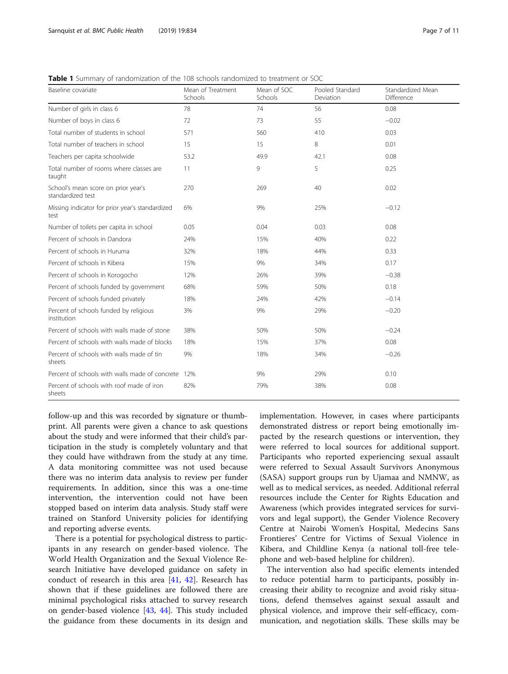<span id="page-6-0"></span>Table 1 Summary of randomization of the 108 schools randomized to treatment or SOC

| Baseline covariate                                       | Mean of Treatment<br>Schools | Mean of SOC<br>Schools | Pooled Standard<br>Deviation | Standardized Mean<br>Difference |
|----------------------------------------------------------|------------------------------|------------------------|------------------------------|---------------------------------|
| Number of girls in class 6                               | 78                           | 74                     | 56                           | 0.08                            |
| Number of boys in class 6                                | 72                           | 73                     | 55                           | $-0.02$                         |
| Total number of students in school                       | 571                          | 560                    | 410                          | 0.03                            |
| Total number of teachers in school                       | 15                           | 15                     | 8                            | 0.01                            |
| Teachers per capita schoolwide                           | 53.2                         | 49.9                   | 42.1                         | 0.08                            |
| Total number of rooms where classes are<br>taught        | 11                           | 9                      | 5                            | 0.25                            |
| School's mean score on prior year's<br>standardized test | 270                          | 269                    | 40                           | 0.02                            |
| Missing indicator for prior year's standardized<br>test  | 6%                           | 9%                     | 25%                          | $-0.12$                         |
| Number of toilets per capita in school                   | 0.05                         | 0.04                   | 0.03                         | 0.08                            |
| Percent of schools in Dandora                            | 24%                          | 15%                    | 40%                          | 0.22                            |
| Percent of schools in Huruma                             | 32%                          | 18%                    | 44%                          | 0.33                            |
| Percent of schools in Kibera                             | 15%                          | 9%                     | 34%                          | 0.17                            |
| Percent of schools in Korogocho                          | 12%                          | 26%                    | 39%                          | $-0.38$                         |
| Percent of schools funded by government                  | 68%                          | 59%                    | 50%                          | 0.18                            |
| Percent of schools funded privately                      | 18%                          | 24%                    | 42%                          | $-0.14$                         |
| Percent of schools funded by religious<br>institution    | 3%                           | 9%                     | 29%                          | $-0.20$                         |
| Percent of schools with walls made of stone              | 38%                          | 50%                    | 50%                          | $-0.24$                         |
| Percent of schools with walls made of blocks             | 18%                          | 15%                    | 37%                          | 0.08                            |
| Percent of schools with walls made of tin<br>sheets      | 9%                           | 18%                    | 34%                          | $-0.26$                         |
| Percent of schools with walls made of concrete           | 12%                          | 9%                     | 29%                          | 0.10                            |
| Percent of schools with roof made of iron<br>sheets      | 82%                          | 79%                    | 38%                          | 0.08                            |

follow-up and this was recorded by signature or thumbprint. All parents were given a chance to ask questions about the study and were informed that their child's participation in the study is completely voluntary and that they could have withdrawn from the study at any time. A data monitoring committee was not used because there was no interim data analysis to review per funder requirements. In addition, since this was a one-time intervention, the intervention could not have been stopped based on interim data analysis. Study staff were trained on Stanford University policies for identifying and reporting adverse events.

There is a potential for psychological distress to participants in any research on gender-based violence. The World Health Organization and the Sexual Violence Research Initiative have developed guidance on safety in conduct of research in this area [\[41](#page-10-0), [42\]](#page-10-0). Research has shown that if these guidelines are followed there are minimal psychological risks attached to survey research on gender-based violence [[43,](#page-10-0) [44](#page-10-0)]. This study included the guidance from these documents in its design and

implementation. However, in cases where participants demonstrated distress or report being emotionally impacted by the research questions or intervention, they were referred to local sources for additional support. Participants who reported experiencing sexual assault were referred to Sexual Assault Survivors Anonymous (SASA) support groups run by Ujamaa and NMNW, as well as to medical services, as needed. Additional referral resources include the Center for Rights Education and Awareness (which provides integrated services for survivors and legal support), the Gender Violence Recovery Centre at Nairobi Women's Hospital, Medecins Sans Frontieres' Centre for Victims of Sexual Violence in Kibera, and Childline Kenya (a national toll-free telephone and web-based helpline for children).

The intervention also had specific elements intended to reduce potential harm to participants, possibly increasing their ability to recognize and avoid risky situations, defend themselves against sexual assault and physical violence, and improve their self-efficacy, communication, and negotiation skills. These skills may be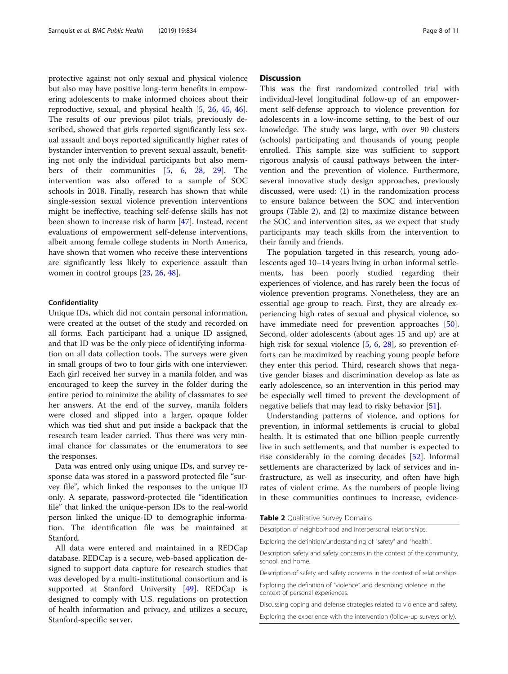protective against not only sexual and physical violence but also may have positive long-term benefits in empowering adolescents to make informed choices about their reproductive, sexual, and physical health [[5,](#page-9-0) [26,](#page-9-0) [45](#page-10-0), [46](#page-10-0)]. The results of our previous pilot trials, previously described, showed that girls reported significantly less sexual assault and boys reported significantly higher rates of bystander intervention to prevent sexual assault, benefiting not only the individual participants but also members of their communities [\[5](#page-9-0), [6,](#page-9-0) [28](#page-9-0), [29\]](#page-9-0). The intervention was also offered to a sample of SOC schools in 2018. Finally, research has shown that while single-session sexual violence prevention interventions might be ineffective, teaching self-defense skills has not been shown to increase risk of harm [\[47](#page-10-0)]. Instead, recent evaluations of empowerment self-defense interventions, albeit among female college students in North America, have shown that women who receive these interventions are significantly less likely to experience assault than women in control groups [[23,](#page-9-0) [26,](#page-9-0) [48](#page-10-0)].

#### Confidentiality

Unique IDs, which did not contain personal information, were created at the outset of the study and recorded on all forms. Each participant had a unique ID assigned, and that ID was be the only piece of identifying information on all data collection tools. The surveys were given in small groups of two to four girls with one interviewer. Each girl received her survey in a manila folder, and was encouraged to keep the survey in the folder during the entire period to minimize the ability of classmates to see her answers. At the end of the survey, manila folders were closed and slipped into a larger, opaque folder which was tied shut and put inside a backpack that the research team leader carried. Thus there was very minimal chance for classmates or the enumerators to see the responses.

Data was entred only using unique IDs, and survey response data was stored in a password protected file "survey file", which linked the responses to the unique ID only. A separate, password-protected file "identification file" that linked the unique-person IDs to the real-world person linked the unique-ID to demographic information. The identification file was be maintained at Stanford.

All data were entered and maintained in a REDCap database. REDCap is a secure, web-based application designed to support data capture for research studies that was developed by a multi-institutional consortium and is supported at Stanford University [[49](#page-10-0)]. REDCap is designed to comply with U.S. regulations on protection of health information and privacy, and utilizes a secure, Stanford-specific server.

# **Discussion**

This was the first randomized controlled trial with individual-level longitudinal follow-up of an empowerment self-defense approach to violence prevention for adolescents in a low-income setting, to the best of our knowledge. The study was large, with over 90 clusters (schools) participating and thousands of young people enrolled. This sample size was sufficient to support rigorous analysis of causal pathways between the intervention and the prevention of violence. Furthermore, several innovative study design approaches, previously discussed, were used: (1) in the randomization process to ensure balance between the SOC and intervention groups (Table 2), and (2) to maximize distance between the SOC and intervention sites, as we expect that study participants may teach skills from the intervention to their family and friends.

The population targeted in this research, young adolescents aged 10–14 years living in urban informal settlements, has been poorly studied regarding their experiences of violence, and has rarely been the focus of violence prevention programs. Nonetheless, they are an essential age group to reach. First, they are already experiencing high rates of sexual and physical violence, so have immediate need for prevention approaches [\[50](#page-10-0)]. Second, older adolescents (about ages 15 and up) are at high risk for sexual violence [\[5](#page-9-0), [6,](#page-9-0) [28](#page-9-0)], so prevention efforts can be maximized by reaching young people before they enter this period. Third, research shows that negative gender biases and discrimination develop as late as early adolescence, so an intervention in this period may be especially well timed to prevent the development of negative beliefs that may lead to risky behavior [[51\]](#page-10-0).

Understanding patterns of violence, and options for prevention, in informal settlements is crucial to global health. It is estimated that one billion people currently live in such settlements, and that number is expected to rise considerably in the coming decades [\[52](#page-10-0)]. Informal settlements are characterized by lack of services and infrastructure, as well as insecurity, and often have high rates of violent crime. As the numbers of people living in these communities continues to increase, evidence-

**Table 2** Qualitative Survey Domains

Description of neighborhood and interpersonal relationships.

Exploring the definition/understanding of "safety" and "health".

Description safety and safety concerns in the context of the community, school, and home.

Description of safety and safety concerns in the context of relationships. Exploring the definition of "violence" and describing violence in the context of personal experiences.

Discussing coping and defense strategies related to violence and safety. Exploring the experience with the intervention (follow-up surveys only).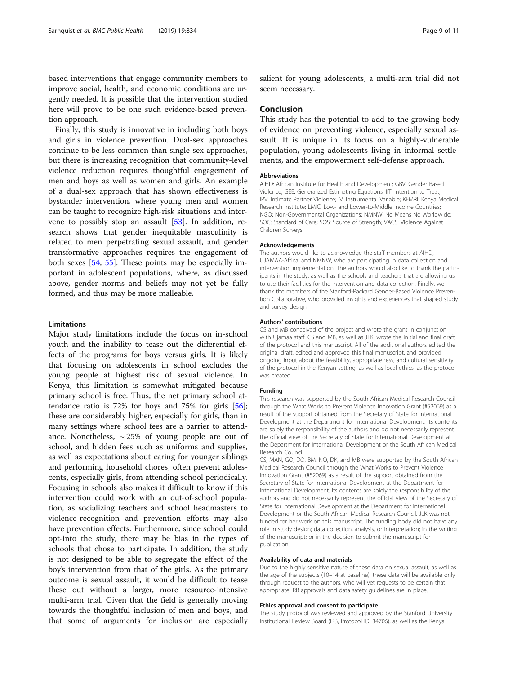based interventions that engage community members to improve social, health, and economic conditions are urgently needed. It is possible that the intervention studied here will prove to be one such evidence-based prevention approach.

Finally, this study is innovative in including both boys and girls in violence prevention. Dual-sex approaches continue to be less common than single-sex approaches, but there is increasing recognition that community-level violence reduction requires thoughtful engagement of men and boys as well as women and girls. An example of a dual-sex approach that has shown effectiveness is bystander intervention, where young men and women can be taught to recognize high-risk situations and intervene to possibly stop an assault [\[53](#page-10-0)]. In addition, research shows that gender inequitable masculinity is related to men perpetrating sexual assault, and gender transformative approaches requires the engagement of both sexes [\[54](#page-10-0), [55](#page-10-0)]. These points may be especially important in adolescent populations, where, as discussed above, gender norms and beliefs may not yet be fully formed, and thus may be more malleable.

# Limitations

Major study limitations include the focus on in-school youth and the inability to tease out the differential effects of the programs for boys versus girls. It is likely that focusing on adolescents in school excludes the young people at highest risk of sexual violence. In Kenya, this limitation is somewhat mitigated because primary school is free. Thus, the net primary school attendance ratio is 72% for boys and 75% for girls  $[56]$  $[56]$ ; these are considerably higher, especially for girls, than in many settings where school fees are a barrier to attendance. Nonetheless,  $\sim$  25% of young people are out of school, and hidden fees such as uniforms and supplies, as well as expectations about caring for younger siblings and performing household chores, often prevent adolescents, especially girls, from attending school periodically. Focusing in schools also makes it difficult to know if this intervention could work with an out-of-school population, as socializing teachers and school headmasters to violence-recognition and prevention efforts may also have prevention effects. Furthermore, since school could opt-into the study, there may be bias in the types of schools that chose to participate. In addition, the study is not designed to be able to segregate the effect of the boy's intervention from that of the girls. As the primary outcome is sexual assault, it would be difficult to tease these out without a larger, more resource-intensive multi-arm trial. Given that the field is generally moving towards the thoughtful inclusion of men and boys, and that some of arguments for inclusion are especially

salient for young adolescents, a multi-arm trial did not seem necessary.

#### Conclusion

This study has the potential to add to the growing body of evidence on preventing violence, especially sexual assault. It is unique in its focus on a highly-vulnerable population, young adolescents living in informal settlements, and the empowerment self-defense approach.

#### **Abbreviations**

AIHD: African Institute for Health and Development; GBV: Gender Based Violence; GEE: Generalized Estimating Equations; IIT: Intention to Treat; IPV: Intimate Partner Violence; IV: Instrumental Variable; KEMRI: Kenya Medical Research Institute; LMIC: Low- and Lower-to-Middle Income Countries; NGO: Non-Governmental Organizations; NMNW: No Means No Worldwide; SOC: Standard of Care; SOS: Source of Strength; VACS: Violence Against Children Surveys

#### Acknowledgements

The authors would like to acknowledge the staff members at AIHD, UJAMAA-Africa, and NMNW, who are participating in data collection and intervention implementation. The authors would also like to thank the participants in the study, as well as the schools and teachers that are allowing us to use their facilities for the intervention and data collection. Finally, we thank the members of the Stanford-Packard Gender-Based Violence Prevention Collaborative, who provided insights and experiences that shaped study and survey design.

#### Authors' contributions

CS and MB conceived of the project and wrote the grant in conjunction with Ujamaa staff. CS and MB, as well as JLK, wrote the initial and final draft of the protocol and this manuscript. All of the additional authors edited the original draft, edited and approved this final manuscript, and provided ongoing input about the feasibility, appropriateness, and cultural sensitivity of the protocol in the Kenyan setting, as well as local ethics, as the protocol was created.

#### Funding

This research was supported by the South African Medical Research Council through the What Works to Prevent Violence Innovation Grant (#52069) as a result of the support obtained from the Secretary of State for International Development at the Department for International Development. Its contents are solely the responsibility of the authors and do not necessarily represent the official view of the Secretary of State for International Development at the Department for International Development or the South African Medical Research Council.

CS, MAN, GO, DO, BM, NO, DK, and MB were supported by the South African Medical Research Council through the What Works to Prevent Violence Innovation Grant (#52069) as a result of the support obtained from the Secretary of State for International Development at the Department for International Development. Its contents are solely the responsibility of the authors and do not necessarily represent the official view of the Secretary of State for International Development at the Department for International Development or the South African Medical Research Council. JLK was not funded for her work on this manuscript. The funding body did not have any role in study design; data collection, analysis, or interpretation; in the writing of the manuscript; or in the decision to submit the manuscript for publication.

#### Availability of data and materials

Due to the highly sensitive nature of these data on sexual assault, as well as the age of the subjects (10–14 at baseline), these data will be available only through request to the authors, who will vet requests to be certain that appropriate IRB approvals and data safety guidelines are in place.

#### Ethics approval and consent to participate

The study protocol was reviewed and approved by the Stanford University Institutional Review Board (IRB, Protocol ID: 34706), as well as the Kenya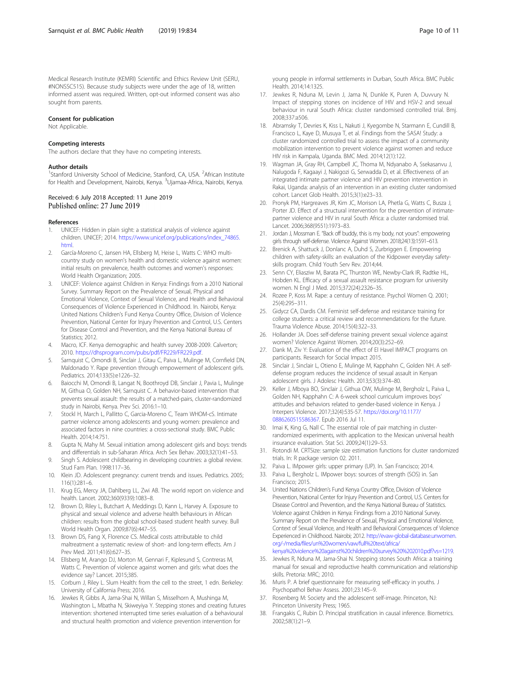<span id="page-9-0"></span>Medical Research Institute (KEMRI) Scientific and Ethics Review Unit (SERU, #NONSSC515). Because study subjects were under the age of 18, written informed assent was required. Written, opt-out informed consent was also sought from parents.

#### Consent for publication

Not Applicable.

#### Competing interests

The authors declare that they have no competing interests.

#### Author details

<sup>1</sup>Stanford University School of Medicine, Stanford, CA, USA. <sup>2</sup>African Institute for Health and Development, Nairobi, Kenya. <sup>3</sup>Ujamaa-Africa, Nairobi, Kenya.

#### Received: 6 July 2018 Accepted: 11 June 2019 Published online: 27 June 2019

#### References

- 1. UNICEF: Hidden in plain sight: a statistical analysis of violence against children. UNICEF; 2014. [https://www.unicef.org/publications/index\\_74865.](https://www.unicef.org/publications/index_74865.html) [html.](https://www.unicef.org/publications/index_74865.html)
- 2. García-Moreno C, Jansen HA, Ellsberg M, Heise L, Watts C: WHO multicountry study on women's health and domestic violence against women: initial results on prevalence, health outcomes and women's responses: World Health Organization; 2005.
- 3. UNICEF: Violence against Children in Kenya: Findings from a 2010 National Survey. Summary Report on the Prevalence of Sexual, Physical and Emotional Violence, Context of Sexual Violence, and Health and Behavioral Consequences of Violence Experienced in Childhood. In. Nairobi, Kenya: United Nations Children's Fund Kenya Country Office, Division of Violence Prevention, National Center for Injury Prevention and Control, U.S. Centers for Disease Control and Prevention, and the Kenya National Bureau of Statistics: 2012.
- 4. Macro, ICF. Kenya demographic and health survey 2008-2009. Calverton; 2010. <https://dhsprogram.com/pubs/pdf/FR229/FR229.pdf>.
- 5. Sarnquist C, Omondi B, Sinclair J, Gitau C, Paiva L, Mulinge M, Cornfield DN, Maldonado Y. Rape prevention through empowerment of adolescent girls. Pediatrics. 2014;133(5):e1226–32.
- Baiocchi M, Omondi B, Langat N, Boothroyd DB, Sinclair J, Pavia L, Mulinge M, Githua O, Golden NH, Sarnquist C. A behavior-based intervention that prevents sexual assault: the results of a matched-pairs, cluster-randomized study in Nairobi, Kenya. Prev Sci. 2016:1–10.
- 7. Stockl H, March L, Pallitto C, Garcia-Moreno C, Team WHOM-cS. Intimate partner violence among adolescents and young women: prevalence and associated factors in nine countries: a cross-sectional study. BMC Public Health. 2014;14:751.
- Gupta N, Mahy M. Sexual initiation among adolescent girls and boys: trends and differentials in sub-Saharan Africa. Arch Sex Behav. 2003;32(1):41–53.
- 9. Singh S. Adolescent childbearing in developing countries: a global review. Stud Fam Plan. 1998:117–36.
- 10. Klein JD. Adolescent pregnancy: current trends and issues. Pediatrics. 2005; 116(1):281–6.
- 11. Krug EG, Mercy JA, Dahlberg LL, Zwi AB. The world report on violence and health. Lancet. 2002;360(9339):1083–8.
- 12. Brown D, Riley L, Butchart A, Meddings D, Kann L, Harvey A. Exposure to physical and sexual violence and adverse health behaviours in African children: results from the global school-based student health survey. Bull World Health Organ. 2009;87(6):447–55.
- 13. Brown DS, Fang X, Florence CS. Medical costs attributable to child maltreatment a systematic review of short- and long-term effects. Am J Prev Med. 2011;41(6):627–35.
- 14. Ellsberg M, Arango DJ, Morton M, Gennari F, Kiplesund S, Contreras M, Watts C. Prevention of violence against women and girls: what does the evidence say? Lancet. 2015;385.
- 15. Corburn J, Riley L. Slum Health: from the cell to the street, 1 edn. Berkeley: University of California Press; 2016.
- 16. Jewkes R, Gibbs A, Jama-Shai N, Willan S, Misselhorn A, Mushinga M, Washington L, Mbatha N, Skiweyiya Y. Stepping stones and creating futures intervention: shortened interrupted time series evaluation of a behavioural and structural health promotion and violence prevention intervention for

young people in informal settlements in Durban, South Africa. BMC Public Health. 2014;14:1325.

- 17. Jewkes R, Nduna M, Levin J, Jama N, Dunkle K, Puren A, Duvvury N. Impact of stepping stones on incidence of HIV and HSV-2 and sexual behaviour in rural South Africa: cluster randomised controlled trial. Bmj. 2008;337:a506.
- 18. Abramsky T, Devries K, Kiss L, Nakuti J, Kyegombe N, Starmann E, Cundill B, Francisco L, Kaye D, Musuya T, et al. Findings from the SASA! Study: a cluster randomized controlled trial to assess the impact of a community mobilization intervention to prevent violence against women and reduce HIV risk in Kampala, Uganda. BMC Med. 2014;12(1):122.
- 19. Wagman JA, Gray RH, Campbell JC, Thoma M, Ndyanabo A, Ssekasanvu J, Nalugoda F, Kagaayi J, Nakigozi G, Serwadda D, et al. Effectiveness of an integrated intimate partner violence and HIV prevention intervention in Rakai, Uganda: analysis of an intervention in an existing cluster randomised cohort. Lancet Glob Health. 2015;3(1):e23–33.
- 20. Pronyk PM, Hargreaves JR, Kim JC, Morison LA, Phetla G, Watts C, Busza J, Porter JD. Effect of a structural intervention for the prevention of intimatepartner violence and HIV in rural South Africa: a cluster randomised trial. Lancet. 2006;368(9551):1973–83.
- 21. Jordan J, Mossman E. "Back off buddy, this is my body, not yours": empowering girls through self-defense. Violence Against Women. 2018;24(13):1591–613.
- 22. Brenick A, Shattuck J, Donlanc A, Duhd S, Zurbriggen E. Empowering children with safety-skills: an evaluation of the Kidpower everyday safetyskills program. Child Youth Serv Rev. 2014;44.
- 23. Senn CY, Eliasziw M, Barata PC, Thurston WE, Newby-Clark IR, Radtke HL, Hobden KL. Efficacy of a sexual assault resistance program for university women. N Engl J Med. 2015;372(24):2326–35.
- 24. Rozee P, Koss M. Rape: a century of resistance. Psychol Women Q. 2001; 25(4):295–311.
- 25. Gidycz CA, Dardis CM. Feminist self-defense and resistance training for college students: a critical review and recommendations for the future. Trauma Violence Abuse. 2014;15(4):322–33.
- 26. Hollander JA. Does self-defense training prevent sexual violence against women? Violence Against Women. 2014;20(3):252–69.
- 27. Dank M, Ziv Y: Evaluation of the effect of El Havel IMPACT programs on participants. Research for Social Impact 2015.
- 28. Sinclair J, Sinclair L, Otieno E, Mulinge M, Kapphahn C, Golden NH. A selfdefense program reduces the incidence of sexual assault in Kenyan adolescent girls. J Adolesc Health. 2013;53(3):374–80.
- 29. Keller J, Mboya BO, Sinclair J, Githua OW, Mulinge M, Bergholz L, Paiva L, Golden NH, Kapphahn C: A 6-week school curriculum improves boys' attitudes and behaviors related to gender-based violence in Kenya. J Interpers Violence. 2017;32(4):535-57. [https://doi.org/10.1177/](https://doi.org/10.1177/0886260515586367) [0886260515586367](https://doi.org/10.1177/0886260515586367). Epub 2016 Jul 11.
- 30. Imai K, King G, Nall C. The essential role of pair matching in clusterrandomized experiments, with application to the Mexican universal health insurance evaluation. Stat Sci. 2009;24(1):29–53.
- 31. Rotondi M. CRTSize: sample size estimation functions for cluster randomized trials. In: R package version 02. 2011.
- 32. Paiva L. IMpower girls: upper primary (UP). In. San Francisco; 2014.
- 33. Paiva L, Bergholz L. IMpower boys: sources of strength (SOS) in. San Francisco; 2015.
- 34. United Nations Children's Fund Kenya Country Office, Division of Violence Prevention, National Center for Injury Prevention and Control, U.S. Centers for Disease Control and Prevention, and the Kenya National Bureau of Statistics. Violence against Children in Kenya: Findings from a 2010 National Survey. Summary Report on the Prevalence of Sexual, Physical and Emotional Violence, Context of Sexual Violence, and Health and Behavioral Consequences of Violence Experienced in Childhood. Nairobi; 2012. [http://evaw-global-database.unwomen.](http://evaw-global-database.unwomen.org/-/media/files/un%20women/vaw/full%20text/africa/kenya%20violence%20against%20children%20survey%20%202010.pdf?vs=1219) [org/-/media/files/un%20women/vaw/full%20text/africa/](http://evaw-global-database.unwomen.org/-/media/files/un%20women/vaw/full%20text/africa/kenya%20violence%20against%20children%20survey%20%202010.pdf?vs=1219)
	- [kenya%20violence%20against%20children%20survey%20%202010.pdf?vs=1219](http://evaw-global-database.unwomen.org/-/media/files/un%20women/vaw/full%20text/africa/kenya%20violence%20against%20children%20survey%20%202010.pdf?vs=1219).
- 35. Jewkes R, Nduna M, Jama-Shai N. Stepping stones South Africa: a training manual for sexual and reproductive health communication and relationship skills. Pretoria: MRC; 2010.
- 36. Muris P. A brief questionnaire for measuring self-efficacy in youths. J Psychopathol Behav Assess. 2001;23:145–9.
- 37. Rosenberg M: Society and the adolescent self-image. Princeton, NJ: Princeton University Press; 1965.
- 38. Frangakis C, Rubin D. Principal stratification in causal inference. Biometrics. 2002;58(1):21–9.